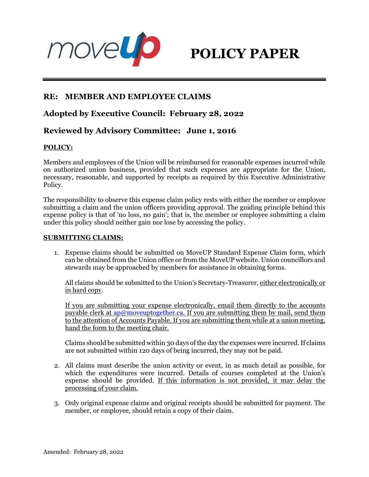



# **RE: MEMBER AND EMPLOYEE CLAIMS**

# **Adopted by Executive Council: February 28, 2022**

# **Reviewed by Advisory Committee: June 1, 2016**

### **POLICY:**

Members and employees of the Union will be reimbursed for reasonable expenses incurred while on authorized union business, provided that such expenses are appropriate for the Union, necessary, reasonable, and supported by receipts as required by this Executive Administrative Policy.

The responsibility to observe this expense claim policy rests with either the member or employee submitting a claim and the union officers providing approval. The guiding principle behind this expense policy is that of 'no loss, no gain'; that is, the member or employee submitting a claim under this policy should neither gain nor lose by accessing the policy.

#### **SUBMITTING CLAIMS:**

1. Expense claims should be submitted on MoveUP Standard Expense Claim form, which can be obtained from the Union office or from the MoveUP website. Union councillors and stewards may be approached by members for assistance in obtaining forms.

All claims should be submitted to the Union's Secretary-Treasurer, either electronically or in hard copy.

If you are submitting your expense electronically, email them directly to the accounts payable clerk at [ap@moveuptogether.ca.](mailto:ap@moveuptogether.ca) If you are submitting them by mail, send them to the attention of Accounts Payable. If you are submitting them while at a union meeting, hand the form to the meeting chair.

Claims should be submitted within 30 days of the day the expenses were incurred.If claims are not submitted within 120 days of being incurred, they may not be paid.

- 2. All claims must describe the union activity or event, in as much detail as possible, for which the expenditures were incurred. Details of courses completed at the Union's expense should be provided. If this information is not provided, it may delay the processing of your claim.
- 3. Only original expense claims and original receipts should be submitted for payment. The member, or employee, should retain a copy of their claim.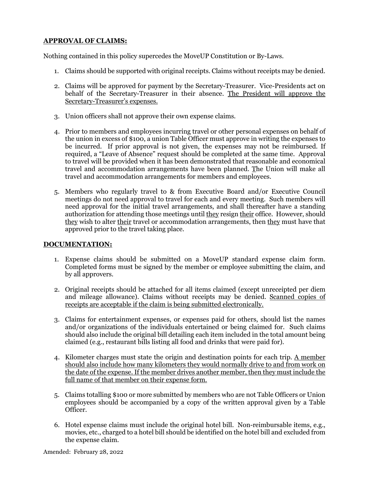# **APPROVAL OF CLAIMS:**

Nothing contained in this policy supercedes the MoveUP Constitution or By-Laws.

- 1. Claims should be supported with original receipts. Claims without receipts may be denied.
- 2. Claims will be approved for payment by the Secretary-Treasurer. Vice-Presidents act on behalf of the Secretary-Treasurer in their absence. The President will approve the Secretary-Treasurer's expenses.
- 3. Union officers shall not approve their own expense claims.
- 4. Prior to members and employees incurring travel or other personal expenses on behalf of the union in excess of \$100, a union Table Officer must approve in writing the expenses to be incurred. If prior approval is not given, the expenses may not be reimbursed. If required, a "Leave of Absence" request should be completed at the same time. Approval to travel will be provided when it has been demonstrated that reasonable and economical travel and accommodation arrangements have been planned. The Union will make all travel and accommodation arrangements for members and employees.
- 5. Members who regularly travel to & from Executive Board and/or Executive Council meetings do not need approval to travel for each and every meeting. Such members will need approval for the initial travel arrangements, and shall thereafter have a standing authorization for attending those meetings until they resign their office. However, should they wish to alter their travel or accommodation arrangements, then they must have that approved prior to the travel taking place.

### **DOCUMENTATION:**

- 1. Expense claims should be submitted on a MoveUP standard expense claim form. Completed forms must be signed by the member or employee submitting the claim, and by all approvers.
- 2. Original receipts should be attached for all items claimed (except unreceipted per diem and mileage allowance). Claims without receipts may be denied. Scanned copies of receipts are acceptable if the claim is being submitted electronically.
- 3. Claims for entertainment expenses, or expenses paid for others, should list the names and/or organizations of the individuals entertained or being claimed for. Such claims should also include the original bill detailing each item included in the total amount being claimed (e.g., restaurant bills listing all food and drinks that were paid for).
- 4. Kilometer charges must state the origin and destination points for each trip. A member should also include how many kilometers they would normally drive to and from work on the date of the expense. If the member drives another member, then they must include the full name of that member on their expense form.
- 5. Claims totalling \$100 or more submitted by members who are not Table Officers or Union employees should be accompanied by a copy of the written approval given by a Table Officer.
- 6. Hotel expense claims must include the original hotel bill. Non-reimbursable items, e.g., movies, etc., charged to a hotel bill should be identified on the hotel bill and excluded from the expense claim.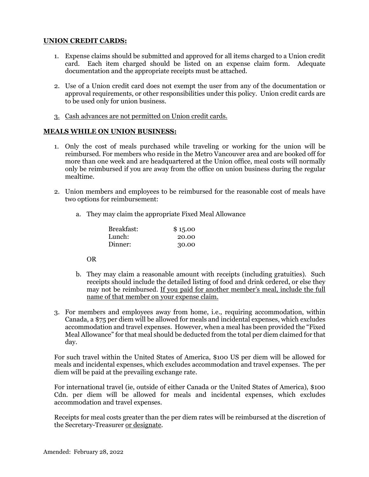### **UNION CREDIT CARDS:**

- 1. Expense claims should be submitted and approved for all items charged to a Union credit card. Each item charged should be listed on an expense claim form. Adequate documentation and the appropriate receipts must be attached.
- 2. Use of a Union credit card does not exempt the user from any of the documentation or approval requirements, or other responsibilities under this policy. Union credit cards are to be used only for union business.
- 3. Cash advances are not permitted on Union credit cards.

#### **MEALS WHILE ON UNION BUSINESS:**

- 1. Only the cost of meals purchased while traveling or working for the union will be reimbursed. For members who reside in the Metro Vancouver area and are booked off for more than one week and are headquartered at the Union office, meal costs will normally only be reimbursed if you are away from the office on union business during the regular mealtime.
- 2. Union members and employees to be reimbursed for the reasonable cost of meals have two options for reimbursement:
	- a. They may claim the appropriate Fixed Meal Allowance

| Breakfast: | \$15.00 |
|------------|---------|
| Lunch:     | 20.00   |
| Dinner:    | 30.00   |

OR

- b. They may claim a reasonable amount with receipts (including gratuities). Such receipts should include the detailed listing of food and drink ordered, or else they may not be reimbursed. If you paid for another member's meal, include the full name of that member on your expense claim.
- 3. For members and employees away from home, i.e., requiring accommodation, within Canada, a \$75 per diem will be allowed for meals and incidental expenses, which excludes accommodation and travel expenses. However, when a meal has been provided the "Fixed Meal Allowance" for that meal should be deducted from the total per diem claimed for that day.

For such travel within the United States of America, \$100 US per diem will be allowed for meals and incidental expenses, which excludes accommodation and travel expenses. The per diem will be paid at the prevailing exchange rate.

For international travel (ie, outside of either Canada or the United States of America), \$100 Cdn. per diem will be allowed for meals and incidental expenses, which excludes accommodation and travel expenses.

Receipts for meal costs greater than the per diem rates will be reimbursed at the discretion of the Secretary-Treasurer or designate.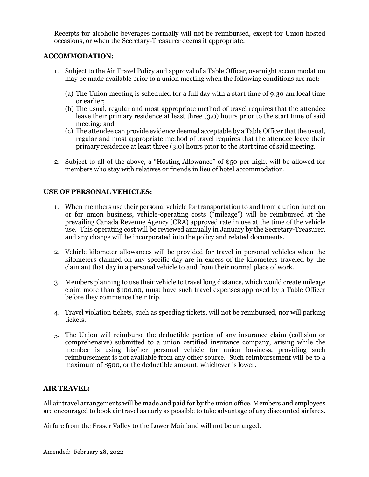Receipts for alcoholic beverages normally will not be reimbursed, except for Union hosted occasions, or when the Secretary-Treasurer deems it appropriate.

# **ACCOMMODATION:**

- 1. Subject to the Air Travel Policy and approval of a Table Officer, overnight accommodation may be made available prior to a union meeting when the following conditions are met:
	- (a) The Union meeting is scheduled for a full day with a start time of 9:30 am local time or earlier;
	- (b) The usual, regular and most appropriate method of travel requires that the attendee leave their primary residence at least three (3.0) hours prior to the start time of said meeting; and
	- (c) The attendee can provide evidence deemed acceptable by a Table Officer that the usual, regular and most appropriate method of travel requires that the attendee leave their primary residence at least three (3.0) hours prior to the start time of said meeting.
- 2. Subject to all of the above, a "Hosting Allowance" of \$50 per night will be allowed for members who stay with relatives or friends in lieu of hotel accommodation.

# **USE OF PERSONAL VEHICLES:**

- 1. When members use their personal vehicle for transportation to and from a union function or for union business, vehicle-operating costs ("mileage") will be reimbursed at the prevailing Canada Revenue Agency (CRA) approved rate in use at the time of the vehicle use. This operating cost will be reviewed annually in January by the Secretary-Treasurer, and any change will be incorporated into the policy and related documents.
- 2. Vehicle kilometer allowances will be provided for travel in personal vehicles when the kilometers claimed on any specific day are in excess of the kilometers traveled by the claimant that day in a personal vehicle to and from their normal place of work.
- 3. Members planning to use their vehicle to travel long distance, which would create mileage claim more than \$100.00, must have such travel expenses approved by a Table Officer before they commence their trip.
- 4. Travel violation tickets, such as speeding tickets, will not be reimbursed, nor will parking tickets.
- 5. The Union will reimburse the deductible portion of any insurance claim (collision or comprehensive) submitted to a union certified insurance company, arising while the member is using his/her personal vehicle for union business, providing such reimbursement is not available from any other source. Such reimbursement will be to a maximum of \$500, or the deductible amount, whichever is lower.

# **AIR TRAVEL:**

All air travel arrangements will be made and paid for by the union office. Members and employees are encouraged to book air travel as early as possible to take advantage of any discounted airfares.

Airfare from the Fraser Valley to the Lower Mainland will not be arranged.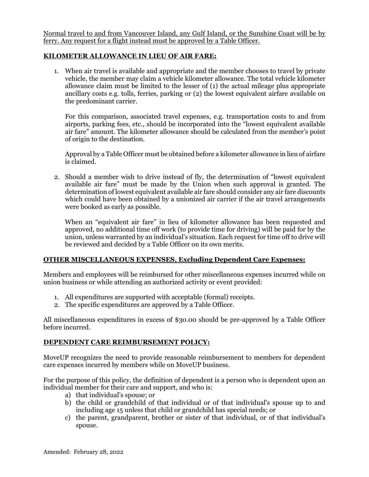Normal travel to and from Vancouver Island, any Gulf Island, or the Sunshine Coast will be by ferry. Any request for a flight instead must be approved by a Table Officer.

### **KILOMETER ALLOWANCE IN LIEU OF AIR FARE:**

1. When air travel is available and appropriate and the member chooses to travel by private vehicle, the member may claim a vehicle kilometer allowance. The total vehicle kilometer allowance claim must be limited to the lesser of (1) the actual mileage plus appropriate ancillary costs e.g. tolls, ferries, parking or (2) the lowest equivalent airfare available on the predominant carrier.

For this comparison, associated travel expenses, e.g. transportation costs to and from airports, parking fees, etc., should be incorporated into the "lowest equivalent available air fare" amount. The kilometer allowance should be calculated from the member's point of origin to the destination.

Approval by a Table Officer must be obtained before a kilometer allowance in lieu of airfare is claimed.

2. Should a member wish to drive instead of fly, the determination of "lowest equivalent available air fare" must be made by the Union when such approval is granted. The determination of lowest equivalent available air fare should consider any air fare discounts which could have been obtained by a unionized air carrier if the air travel arrangements were booked as early as possible.

When an "equivalent air fare" in lieu of kilometer allowance has been requested and approved, no additional time off work (to provide time for driving) will be paid for by the union, unless warranted by an individual's situation. Each request for time off to drive will be reviewed and decided by a Table Officer on its own merits.

### **OTHER MISCELLANEOUS EXPENSES, Excluding Dependent Care Expenses:**

Members and employees will be reimbursed for other miscellaneous expenses incurred while on union business or while attending an authorized activity or event provided:

- 1. All expenditures are supported with acceptable (formal) receipts.
- 2. The specific expenditures are approved by a Table Officer.

All miscellaneous expenditures in excess of \$30.00 should be pre-approved by a Table Officer before incurred.

#### **DEPENDENT CARE REIMBURSEMENT POLICY:**

MoveUP recognizes the need to provide reasonable reimbursement to members for dependent care expenses incurred by members while on MoveUP business.

For the purpose of this policy, the definition of dependent is a person who is dependent upon an individual member for their care and support, and who is:

- a) that individual's spouse; or
- b) the child or grandchild of that individual or of that individual's spouse up to and including age 15 unless that child or grandchild has special needs; or
- c) the parent, grandparent, brother or sister of that individual, or of that individual's spouse.